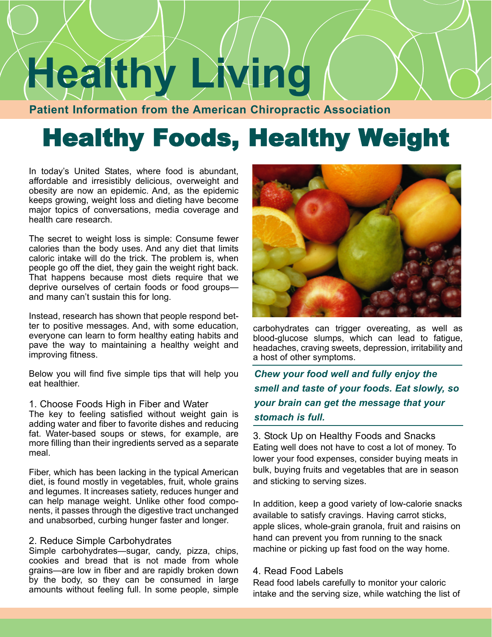# **Healthy Living**

**Patient Information from the American Chiropractic Association**

# Healthy Foods, Healthy Weight

In today's United States, where food is abundant, affordable and irresistibly delicious, overweight and obesity are now an epidemic. And, as the epidemic keeps growing, weight loss and dieting have become major topics of conversations, media coverage and health care research.

The secret to weight loss is simple: Consume fewer calories than the body uses. And any diet that limits caloric intake will do the trick. The problem is, when people go off the diet, they gain the weight right back. That happens because most diets require that we deprive ourselves of certain foods or food groups and many can't sustain this for long.

Instead, research has shown that people respond better to positive messages. And, with some education, everyone can learn to form healthy eating habits and pave the way to maintaining a healthy weight and improving fitness.

Below you will find five simple tips that will help you eat healthier.

#### 1. Choose Foods High in Fiber and Water

The key to feeling satisfied without weight gain is adding water and fiber to favorite dishes and reducing fat. Water-based soups or stews, for example, are more filling than their ingredients served as a separate meal.

Fiber, which has been lacking in the typical American diet, is found mostly in vegetables, fruit, whole grains and legumes. It increases satiety, reduces hunger and can help manage weight. Unlike other food components, it passes through the digestive tract unchanged and unabsorbed, curbing hunger faster and longer.

#### 2. Reduce Simple Carbohydrates

Simple carbohydrates—sugar, candy, pizza, chips, cookies and bread that is not made from whole grains—are low in fiber and are rapidly broken down by the body, so they can be consumed in large amounts without feeling full. In some people, simple



carbohydrates can trigger overeating, as well as blood-glucose slumps, which can lead to fatigue, headaches, craving sweets, depression, irritability and a host of other symptoms.

*Chew your food well and fully enjoy the smell and taste of your foods. Eat slowly, so your brain can get the message that your stomach is full.* 

3. Stock Up on Healthy Foods and Snacks Eating well does not have to cost a lot of money. To lower your food expenses, consider buying meats in bulk, buying fruits and vegetables that are in season and sticking to serving sizes.

In addition, keep a good variety of low-calorie snacks available to satisfy cravings. Having carrot sticks, apple slices, whole-grain granola, fruit and raisins on hand can prevent you from running to the snack machine or picking up fast food on the way home.

#### 4. Read Food Labels

Read food labels carefully to monitor your caloric intake and the serving size, while watching the list of